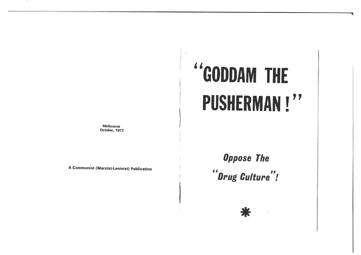### **Melbourne** October, 1972

A Communist (Marxist-Leninist) Publication

# "GODDAM THE **PUSHERMAN!"**

**Oppose The** "Drug Culture"!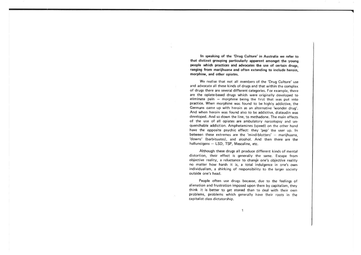In speaking of the 'Drug Culture' in Australia we refer to that distinct grouping particularly apparent amongst the youngpeople which practices and advocates the use of certain drugs ranging from marijhuana and often extending to include heroin,morphine, and other opiates.

We realise that not all members of the 'Drug Culture' useand advocate all these kinds of drugs and that within the complex of drugs there are several different categories. For example. there are the opiate-based drugs which were originally developed toeliminate pain - morphine being the first that was put into practice. When morphine was found to be highly addictive, the Germans cãme up with heroin as an alternative 'wonder drug'. And when heroin was found also to be addictive, dialaudin was developed. And so down the line. to methadone. The main effects of the use of all opiates are ambulatory narcolopsy and unquenchable addiction. Amphetamines (speed) on the other hand have the opposite psychic effect: they 'pep' the user up. lnbetween these extremes are the 'mind-blotters' - mariihuana. 'downs' (barbituates), and alcohol. And then there are the halluncigens  $-$  LSD, TSP, Mescaline, etc.

Although these drugs all produce different kinds of mental distortion, their effect is generally the same. Escape fromobjective reality, a reluctance to change one's objective reality no matter how harsh it is, a total indulgence in one's own individualism, a shirking of responsibility to the larger societyoutside one's head.

People often use drugs because, due to the feelings ofalienation and frustration imposed upon them by capitalism, they think it is better to get stoned than to deal with their own problems, problems which generally have their roots in the capilalist class dictatorship.

q.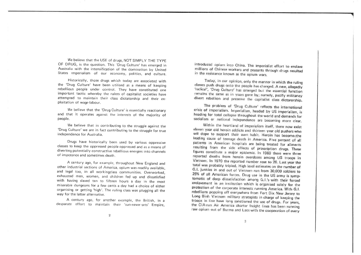We believe that the USE of drugs, NOT SIMPLY THE TYPE OF DRUG, is the question. This 'Drug Culture' has emerged in Australia with the intensification of the domination by United States imperialism of our economy, politics, and culture.

Historically, those drugs which today are associated with the 'Drug Culture' have been utilised as a means of keeping rebellious people under control. They have constituted onemportant tactic whereby the rulers of capitalist societies have attempted to maintain their class dictatorship and their exploitation of wage-labour.

We believe that the 'Drug Culture' is essentially reactionary and that it operates against the interests of the majority of people.

We believe that in contributing to the struggle against the 'Drug Culture'we are in fact contributing to the struggle for trueindependence for Australia.

Drugs have historically been used by various oppressive classes to keep the oppressed people oppressed and as a means of diverting potentially constructive rebellious energies into channelsof impotence and sometimes death.

<sup>A</sup>century ago, for example, throughout New England and other industrial sections of America, opium was readily available, and legal too, in all workingclass communities. Overworked, exhausted men, women, and children fed up and dissatisfied with having slaved ten to fifteen hours a day in the most miserable dungeons for a few cents a day had a choice of either organising or getting 'high'. The ruling class was plugging all theway for the latter alternative.

A century ago, for another example, the British, in adesparate effort to maintain their 'sun-never-sets' Empire

introduced opium into China. The imperialist effort to enslave millions of Chinese workers and peasants through drugs resulted in the resistance known as the opium wars.

Today, in our opinion, only the manner in which the ruling classes push drugs onto the people has changed. A new, allegedly 'radical', 'Drug Culture' has emerged but the essential function remains the same as in years gone by; namely, pacify militancy divert rebellion and preserve the capitalist class dictarorship.

The problem of 'Drug Culture' reflects the international crisis of imperialism. Imperialism, headed by US imperialism, is heading for total collapse throughout the world and demands for socialism or national independence are becoming more clear.

Within the heartland of imperialism itself, there now exist eleven year old heroin addicts and thirteen year old pushers who sell dope to support their own habit. Heroin has becometthe leading cause of teenage death in America. Five percent of all patients in American hospitals are being treated for ailments resulting from the side effects of prescription drugs. These figures constitute a major epidemic. In 1969 there were three reported deaths from heroin overdoses among US troops in Vietnam. In 1970 the reported number rose to 26. Last year the total was probably tripled. High level estimates on the number of G.I. junkies in and out of Vietnam run from 30,000 soldiers to 25% of all American forces. Drug use in the US army is symptomatic of deep dissatisfaction among G.I.'s with their forced enslavement in an institution which is organised solely for the protection of the corporate interests running America. With G.I. rebellions popping off everywhere from Fort Dix New Jersey to Long Binh Vietnam military strategists in charge of keeping the troops in line have long sanctioned the use of drugs. For years, the CIA-run Air America charter freight lines has been running raw opium out of Burma and Laos with the cooperation of every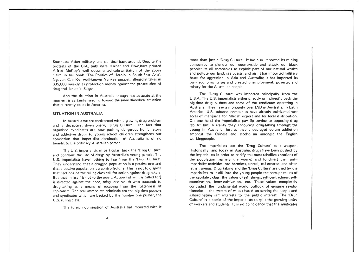Southeast Asian military and political hack around. Despite theprotests of the CIA, publishers Harper and Row, have printed Alfred McKoy's well documented substantiation of the above claim in his book 'The Politics of Heroin in South-East Asia'. Nguyan Cao Ky, well-known Yankee puppet. allegedly takes in S35,000 weekly as protection money against the prosecution ofdrug traffickers in Saigon.

And the situation in Australia though not as acute at the moment is certainly heading toward the same diabolical situationthat currently exists in America.

### SITUATION IN AUSTRALIA

ln Australia we are confronted with a growing drug problem and a deceptive. diversionary, 'Drug Culture'. The fact that organised syndicates are now pushing dangerous hullicinatory and addictive drugs to young school children strengthens our conviction that imperialist domination of Australia is of nobenefit to the ordinary Australian person.

The U.S. imperialists in particular, back the 'Drug Culture' and condone the use of drugs by Australia's young people. The U.S. imperialists have nothing to fear from the 'Drug Culture'.They understand that a drugged population is a passive one and that a passive population is a controlled one. This is not to dispute that sections of the ruling class call for action against drug-takers. But that in itself is not to the point. Action (when it is called forl is directed against the poor, misguided youth who succumb to drug-taking as a means of escaping from the rottenness of capitalism. The real immediate criminals are the big-time pushersand syndicates which are backed by the number one pusher. theU.S. ruling class.

The foreign domination of Australia has imported with it

more than just a 'Drug Culture'. lt has also imported its mining companies to plunder our countryside and attack our black people; its oil companies to exploit part of our natural wealth and pollute our land, sea coasts, and air; it has imported military bases for aggression in Asia and Australía; it has imported itsown economic crises and created unemployment, poverty, and misery for the Australian people.

The 'Drug Culture' was imported principally from the U.S.A. The U.S. imperialists either directly or indirectly back the big-time drug pushers and some of the syndicates operating in Australia. They have a monopoly over LSD in Australia. ln Latin America, U.S. tobacco companies have already cultivated vast acres of marijuana for 'illegal' export and for local distribution. On one hand the imperialists pay líp service to opposing drug 'abuse' but in reality they encourage drug-taking amongst the young in Australia. just as they encouraged opium addiction amongst the Chinese and alcoholism amongst the Englishworkingpeople.

The imperialists use the 'Drug Culture' as a weapon.Historically, and today in Australia, drugs have been pushed by the imperialists in order to pacify the most rebellious sections of the population (namely the young) and to divert their antiimperialist activities into harmless, unreal, self-centred, and often lethal, arenas. Drug taking and the'Drug Culture'are used by theimperialists to instill into the young people the corrupt values of the capitalist class; the values of selfishness, self-centredness, selfexamination, inner-cultivation, etc. These values completelycontradict the fundamental world outlook of genuine revolutionaries - the system of values based on serving the people and subordinating self interests to the public interest. The 'Drug Culture' is a tactic of the imperialists to split the growing unity of workers and students. lt is no coincidence that the syndicates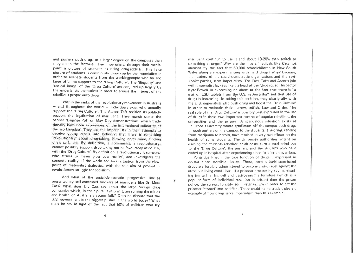and pushers push drugs to a larger degree on the campuses than they do in the factories. The imperialists, through their media, paint a picture of students as being drug-addicts. This false picture of students is consciously drawn up by the imperialists in order to alienate students from the workingpeople who by andlarge offer no support to the 'Drug Culture'. The 'illegality' and radical image' of the 'Drug Culture' are conjured up largely by the imperialists themselves in order to arouse the interest of thereþellious people onto drugs.

Within rhe ranks of the revolutionary movement in Australia $-$  and throughout the world  $-$  individuals exist who actually support the 'Drug Culture'. The Aarons-Taft revisionists publiclysupport the legalisation of marijuana. They march under the banner 'Legalise Pot' on May Day demonstrations, which tradithe workingclass. They aid the imperialists in their attempts to deceive young rebels into believing that there is something 'revolutionary' about drug-taking, blowing one's mind, finding one's self, etc. By definition, a communist, a revolutionary, cannot possibly support drug-taking nor be favourably associated with the 'Drug Culture'. By definition, a revolutionary is someonewho strives to 'never gloss over reality', and investigates the concrete reality of the world and local situation from the view point of materialist dialectics, with the sole aim of promotingrevolutionary struggle for socialism.

And what of the social-democratic 'progressive' line as presented by self-confessed smokers of marijuana like Dr. Moss Cass? What does Dr. Cass say about the large foreign drug companies which, in their pursuit of profit, are ruining the minds and health of Australia's young folk? Does he dispute that the U.S. government is the biggest pusher in the world today? Whatdoes he say in light of the fact that 50% of children who try

 $\mathbf{r}$ 

marijuana continue to use it and about 18-20% then switch tosomething stronger? Why are the 'liberal' radicals like Cass not alarmed by the fact that 50,000 schoolchildren in New SouthWales along are experimenting with hard drugs? Why? Because the leaders of the social-democratic organisations and the revisionist parties, serve imperialism. The Cass, Tafts and Aarons join with imperialist lackeys like the head of the 'drug squad' lnspector Kyte-Powell in expressing no alarm at the fact that there is "a glut of LSD tablets from the U.S. in Australia" and that use ofdrugs is increasing. In taking this position, they clearly ally with the U.S. imperialists who push drugs and boost the 'Drug Culture' in order to maintain their narrow, selfish, Law and Order. The real role of the 'Drug Culture' is possibly best expressed in the useof drugs in those two important centres of popular rebellion, the universities and the prisons. A scandalous situation exists atLa Trobe University where syndicates off the campus push drugs through pushers on the campus to the students- The drugs, ranging from mariiuana to heroin. have resulted in very bad effects on the health of some students. The University authorities. intent oncurbing the students rebellion at all costs, turn a total blind eye ro the 'Drug Culture', the pushers, and the studenìs who haveended up in hospital after experiencing a bad 'trip' or an overdose. In Pentridge Prison, the true function of drúgs is expressed in crystal clear, horrible clarity. There, certain barbituate-based drugs are forcibly administered to prisoners who rebel against the atrocious living conditions. If a prisoner protests by, say, barricad ing himself in his cell and destroying his furniture (which is a popular form of individual rebellion in prison) then the prisor police, the screws, forcibly administer valium in order to get the prisoner 'stoned' and pacified. There could be no cruder, clearer,example of how drugs serve imperialism than this example.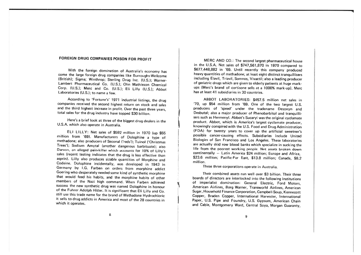# FOREIGN DRUG COMPANIES POISON FOR PROFIT

With the foreign domination of Australia's economy has come the large foreign drug companies like Burroughs-Wellcome (British): Siama; Winthrop: Sterling Drug Inc. (U.S.); Warner-Lambert Pharmaceutical Co. (U.S.); Olin Mathieson Chemical Corp. (U.S.); Merc and Co. (U.S.); Eli Lilly (U.S.); Abbot Laboratories (U.S.); to name a few.

According to 'Fortune's' 1971 industrial listings, the drug companies received the second highest return on stock and sales and the third highest increase in profit. Over the past three years, total sales for the drug industry have topped \$30 billion.

Here's a brief look at three of the biggest drug dealers in the U.S.A. which also operate in Australia.

ELI LILLY: Net sales of \$592 million in 1970 (up \$55 million from '69). Manufacturers of Dolophine a type of methadone; also producers of Seconal ('reds'); Tuinol ('Christmas Trees'); Sodium Amytal (another dangerous barbituate); also Darvon, an alleged pain-killer which accounts for 10% of Lilly's sales (recent testing indicates that the drug is less effective than asprin). Lilly also produces sizable quantities of Morphine and Codeine. Dolophine incidentally, was developed in 1943 in Germany by I.G. Farben on orders from morphine addict Goering who desperately needed some kind of synthetic morphine that would feed his habits, and the morphine habits of other members of the Nazi high command. When Farben achieved success the new synthetic drug was named Dolophine in honour of the Fuhrer Adolph Hitler. It is significant that Eli Lilly and Co. still use this trade name for the brand of Methadone Hydrochloric it sells to drug addicts in America and most of the 28 countries in which it operates.

MERC AND CO.: The second largest pharmaceutical house in the U.S.A. Net sales of \$747,561,870 in 1970 compared to \$677,448,882 in '69. Until recently this company produced heavy quantities of methadone; at least eight distinct tranquillisers including Elavil, Triavil, Somnos, Vivactil; also a leading producer of geriatric drugs which are given to elderly patients at huge markups (Merc's brand of cortisone sells at a 1000% mark-up). Merc has at least 41 subsidiaries in 30 countries.

ABBOT LABORATORIES: \$457.5 million net sales in '70, up \$54 million from '69. One of the two largest U.S. producers of 'speed' under the tradename Desoxyn and Desbutal; also a major producer of Phenobarbitol and tranquillisers such as Hermenyl. Abbot's Sucaryl was the original cyclamate product. Abbot, which is America's largest cyclamate producer, knowingly conspired with the U.S. Food and Drug Administration (FDA) for twenty years to cover up the artificial sweetner's possible cancer-causing effects. Subsidiaries include United Biologies of San Francisco and Los Angeles. These laboratories are actually skid row blood banks which specialize in sucking the life from the poorest working people. Net assets broken down continentally - Latin America \$24 million; Europe and Africa. \$23.6 million; Pacific-Far East, \$13.8 million; Canada, \$8.2 million

These three corporations operate in Australia.

Their combined assets run well over \$3 billion. Their three boards of directors are interlocked into the following institutions of imperialist domination: General Electric, Ford Motors. American Airlines, Borg Warner, Transworld Airlines, American Sugar, Household Finance Corporation, Campbell Soup, Kennecott Cooper. Braden Copper. International Harvester, International Paper, U.S. Pipe and Foundry, U.S. Gypsum, American Chain and Cable, Montgomery Ward, Central Sova, Morgan Guaranty.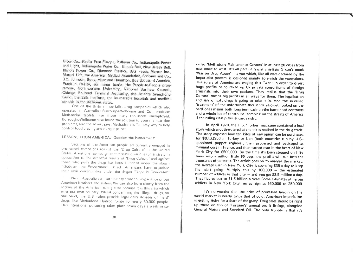Glow Co., Radio Free Europe, Pullman Co., Indianapolis Power and Light, Indianapolis Water Co., Illinois Bell, New Jersey Bell, Illinois Power Co., Diamond Plastics, B/G Feeds, Mercer Inc., Mutual Life, the American Medical Association, Scribner and Co., S.C. Johnson, Booz, Allen and Hamilton, Boy Scouts of America, Franklin Realty, six minor banks, the People-to-People programme, Northwestern University, National Business Council, Chicago Railroad Terminal Authority, the Atlanta Symphony Guild, the Salk Institute, the inumerable hospitals and medical schools in ten different states.

One of the British imperialist drug companies which also operates in Australia, Burroughs-Wellcome and Co., produces Methadrine tablets. For those many thousands unemployed, Burroughs-Wellcome have found the solution to your malnutrition problems, like the advert says, Methadrine is "an easy way to help control food craving and hunger pains".

## LESSONS FROM AMERICA: 'Goddam the Pusherman!'

Sections of the American people are currently engaged in protracted campaigns against the 'Drug Culture' in the United States. A national campaign encompassing various social strata in opposition to the dreadful results of 'Drug Culture' and against those who push the drugs has been launched under the stogan "Goddam the Pusherman!". Black Americans have organised their own communities under the slogan "Dope is Genocide!"

We in Australia can learn plenty from the experience of our American brothers and sisters. We can also learn plenty from the actions of the American ruling class because it is this class which rules our own country. Whilst condemning the 'Illegal' drugs, on one hand, the U.S. rulers provide legal daily dosages of 'hard' drugs like Methadone Hydrochloride to nearly 30,000 people. This intentional poisoning takes place seven days a week in so-

called 'Methadone Maintenance Centers' in at least 20 cities from east coast to west. It's all part of fascist chieftain Nixon's mock 'War on Drug Abuse' - a war which, like all wars declared by the imperialist powers, is designed mainly to enrich the warmakers. The rulers of America are waging this "war" in order to divert huge profits being raked up by private consortiums of foreign criminals into their own pockets. They realise that the 'Drug Culture' means big profits in all ways for them. The legalisation and sale of soft drugs is going to take it in. And the so-called 'treatment' of the unfortunate thousands who get hooked on the hard ones means both long term cash-on-the-barrelhead contracts and a whole lot of controlled 'zombies' on the streets of America if the ruling class plays its cards right.

In April 1970, the U.S. 'Forbes' magazine contained a lead story which mouth-watered at the takes realised in the drug trade. The story exposed how ten kilos of raw opium can be purchased for \$(U.S.)350 in Turkey or Iran (both countries run by U.S.appointed puppet regimes), then processed and packaged at minimal cost in France, and then turned over in the heart of New York City for \$500,000. By the time it's been stepped on fifty times into a million little \$5 bags, the profits will run into the thousands of percents. The article goes on to analyse the market: the average user in New York City is spending \$35 a day to keep his habit going. Multiply this by 100,000 - the estimated number of addicts in that city  $-$  and you get \$3.5 million a day. That figures out to \$1.5 billion a year! Some estimates of heroin addicts in New York City run as high as 160,000 to 250,000.

It's no wonder that the price of processed heroin on the world market is nearly twice that of gold. American imperialism is getting itchy for a share of the gravy. Drug sales should be right up there on top of 'Fortune's' annual profit listings, alongside General Motors and Standard Oil. The only trouble is that it's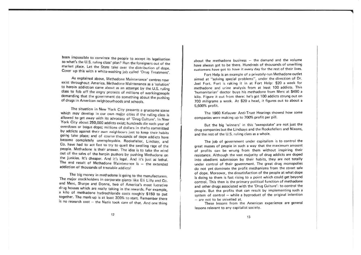been impossible to convince the people to accept its legalisation so what's the U.S. ruling class' plan? Run the foreigners out of the the State take over the distribution of dope. a white-washing job called 'Drug Treatment'

As explained above, Methadone Maintenance' centres now exist throughout America. Methadone Maintenance as a 'solution' to heroin addiction came about as an attempt by the U.S. ruling class to fob off the angry protests of millions of workingpeople demanding that the government do something about the pushing of drugs in American neighbourhoods and schools.

The situation in New York City presents a gruesome scene which may develop in our own major cities if the ruling class is allowed to get away with its advocacy of 'Drug Culture'. In New York City about 250,000 addicts exist; hundreds die each year of overdoses or bogus dope; millions of dollars in thefts committed by addicts against their own neighbours just to keep their habits going take place; and of course thousands of dope addicts have become completely unemployable. Rockefeller, Lindsay, and Co. have had to act fast to try to quell the swelling rage of the people. Methadone is their answer. The idea is to take the wind out of the sales of the heroin pushers by pushing Methadone on the junkies. It's cheaper. And it's legal. And it's just as lethal. The end result of Methadone Maintenance is - the extended addiction of thousands of treatable addicts!

The big money in methadone is going to the manufacturers. The major stockholders in corporate giants like Eli Lilly and Co. and Merc, Sharpe and Donne, two of America's most lucrative drug houses which are really taking in the rewards. For example, a kilo of methadone hydrochloride costs roughly \$150 to put together. The mark-up is at least 300% to start. Remember there<br>is no research cost - the Nazis took care of that. And one thing

about the methadone business  $-$  the demand and the volume have always got to be there. Hundreds of thousands of unwilling customers have got to have it every day for the rest of their lives

''t

Fort Help is an example of a privately-run Methadone outlet aimed at "solving special problems", under the direction of Dr. Joel Fort. Fort is raking it in at Fort Help: \$20 a week for methadone and urine analysis from at least 100 addicts. This 'humanitarian' doctor buys his methadone from Merc at \$490 a kilo. Figure it out from there: he's got 100 addicts strung out on <sup>700</sup>miligrams a week. At \$20 a head, it figures out to aboul <sup>a</sup> 5,600% profit.

The 1960 Kefauver Anti-Trust Hearings showed how somecompanies were making up to 700% profit per pill.

But the big 'winners' in this 'sweepstake' are not just thedrug companies but the Lindsays and the Rockefellers and Nixons and the rest of the U.S. ruling class as a whole.

The job of government under capitalism is to control the great masses of people in such a way that the maximum amount of profits can be wrung from them without inspiring their resistance. Although the vast majority of drug addicts are dopedinto obedient submission by their habits, they are not totally under control of their government. The great drug monopoliesdo not yet dominate the profit mechanisms from the street sale of dope. Moreover, the dissatisfaction of the people at what dopeis doing to them is fast rising to a point which could get beyond control. This then is the primary political function of methadone and other drugs associated with the 'Drug Culture': to control the people. But the profits that can result by implementing such asystem of control  $-$  while a byproduct of the original intention

- are not to be snivelled at. These lessons from the American experience are general lessons relevant to any capitalist society.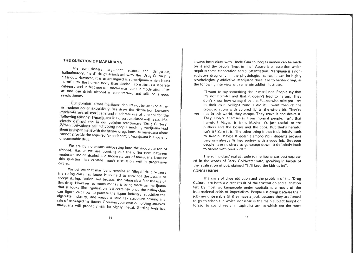# THE QUESTION OF MARIJUANA

The revolutionary argument against the dangerous, hallucinatory, 'hard' drugs associated with the 'Drug Culture' is clear-cut. However, it is often argued that marijuana which is less harmful to the human body than alcohol, constitutes a separate category and in fact one can smoke marijuana in moderation, just as one can drink alcohol in moderation, and still be a good revolutionary.

Our opinion is that marijuana should not be smoked either in moderation or excessively. We draw the distinction between moderate use of marijuana and moderate use of alcohol for the following reasons: 1/marijuana is a drug associated with a specific, clearly defined and in our opinion reactionary 'Drug Culture'; 2/the motivations behind young people smoking marijuana lead them to experiment with the harder drugs because marijuana alone cannot provide the required 'experience'; 3/marijuana is a socially unacceptable drug.

We are by no means advocating here the moderate use of alcohol. Rather we are pointing out the differences between moderate use of alcohol and moderate use of marijuana, because this question has created much discussion within progressive

We believe that marijuana remains an 'illegal' drug because the ruling class has found it so hard to convince the people to accept its legalisation, not because the ruling class fear the use of this drug. However, so much money is being made on marijuana that it looks like legalisation is a certainty once the ruling class can figure out how to placate the liquor industry, subsidize the cigarette industry, and weave a solid tax structure around the sale of packaged marijuana. Growing your own or holding untaxed marijuana will probably still be highly illegal. Getting high has

always been okay with Uncle Sam so long as money can be made on it and the people 'kept in line'. Above is an assertion which requires some elaboration and substantiation. Marijuana is a nonaddictive drug only in the physiological sense, it can be highly psychologically addictive. Marijuana does lead to harder drugs, as the following interview with a heroin addict illustrates:

"I want to say something about marijuana. People say that it's not harmful and that it doesn't lead to heroin. They don't know how wrong they are. People who take pot are in their own twilight zone. I did it. I went through the crowded room with colored lights, the whole bit. They're

not not in this world, they escape. They crave it and desire it. They isolate themselves from normal people. Isn't that harmful? Maybe it isn't. Maybe it's just useful to the pushers and the bosses and the cops. But that's harmful isn't it? Sure it is. The other thing is that it definitely leads to heroin. Mavbe it doesn't among rich students because they can always fit into society with a good job. But poor people have nowhere to go except down. It definitely leads to heroin with poor kids."

The ruling class' real attitude to marijuana was best expressed in the words of Barry Goldwater who, speaking in favour of the legalisation of pot, claimed "It'll keep the kids quiet". **CONCLUSION** 

The crisis of drug addiction and the problem of the 'Drug Culture' are both a direct result of the frustration and alienation felt by most workingpeople under capitalism, a result of the international crisis of imperialism. People use drugs because their jobs are unbearable (if they have a job), because they are forced to go to schools in which nonsense is the main subject taught or forced to spend years in capitalist armies which are the most